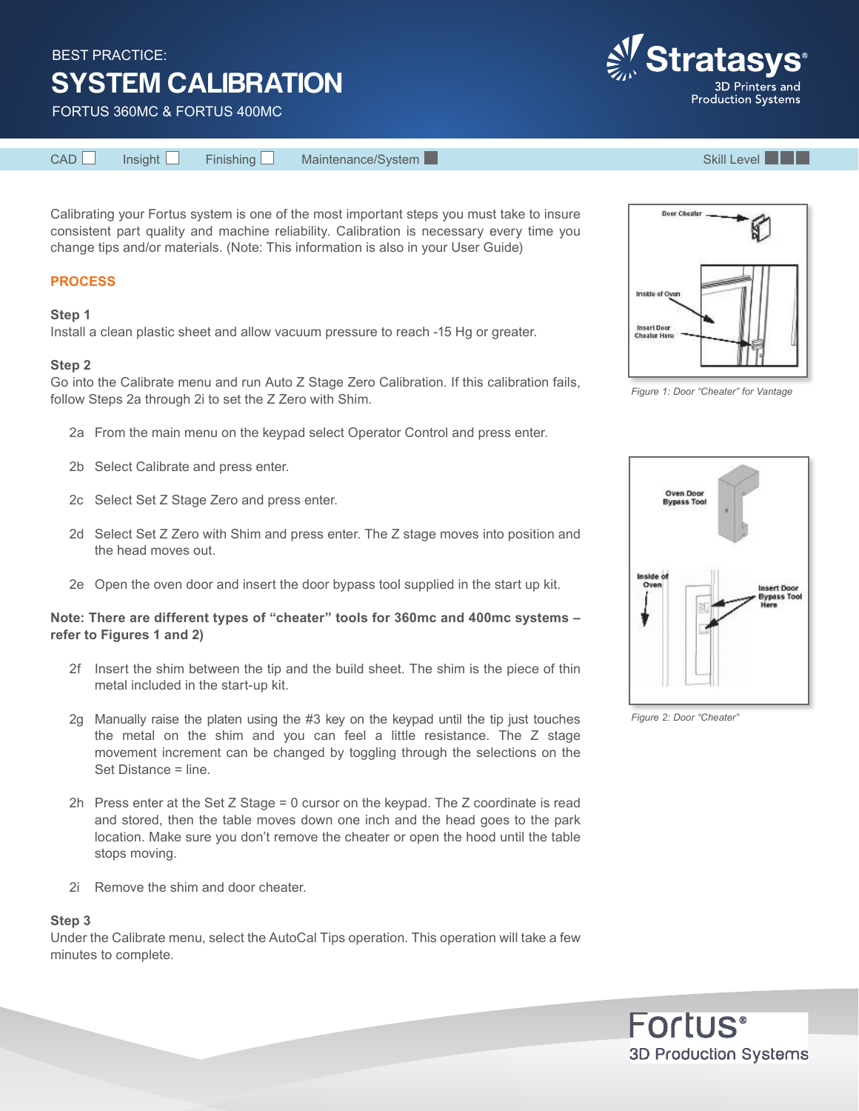BEST PRACTICE:

# SYSTEM CALIBRATION

FORTUS 360MC & FORTUS 400MC

Calibrating your Fortus system is one of the most important steps you must take to insure consistent part quality and machine reliability. Calibration is necessary every time you change tips and/or materials. (Note: This information is also in your User Guide)

# **PROCESS**

# **Step 1**

Install a clean plastic sheet and allow vacuum pressure to reach -15 Hg or greater.

# **Step 2**

Go into the Calibrate menu and run Auto Z Stage Zero Calibration. If this calibration fails, follow Steps 2a through 2i to set the Z Zero with Shim.

- 2a From the main menu on the keypad select Operator Control and press enter.
- 2b Select Calibrate and press enter.
- 2c Select Set Z Stage Zero and press enter.
- 2d Select Set Z Zero with Shim and press enter. The Z stage moves into position and the head moves out.
- 2e Open the oven door and insert the door bypass tool supplied in the start up kit.

# **Note: There are different types of "cheater" tools for 360mc and 400mc systems – refer to Figures 1 and 2)**

- 2f Insert the shim between the tip and the build sheet. The shim is the piece of thin metal included in the start-up kit.
- 2g Manually raise the platen using the #3 key on the keypad until the tip just touches the metal on the shim and you can feel a little resistance. The Z stage movement increment can be changed by toggling through the selections on the Set Distance = line.
- 2h Press enter at the Set Z Stage = 0 cursor on the keypad. The Z coordinate is read and stored, then the table moves down one inch and the head goes to the park location. Make sure you don't remove the cheater or open the hood until the table stops moving.
- 2i Remove the shim and door cheater.

# **Step 3**

Under the Calibrate menu, select the AutoCal Tips operation. This operation will take a few minutes to complete.

*Figure 1: Door "Cheater" for Vantage*